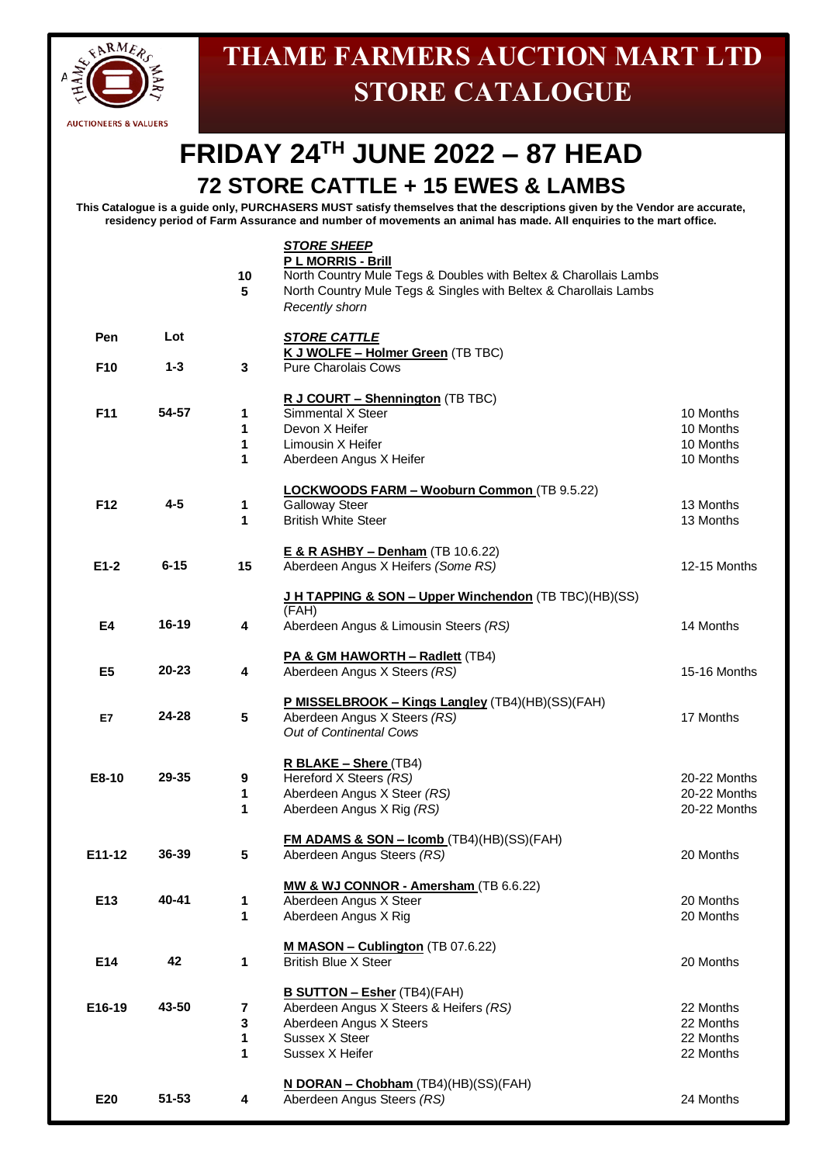

## **THAME FARMERS AUCTION MART LTD STORE CATALOGUE**

## **FRIDAY 24TH JUNE 2022 – 87 HEAD 72 STORE CATTLE + 15 EWES & LAMBS**

**This Catalogue is a guide only, PURCHASERS MUST satisfy themselves that the descriptions given by the Vendor are accurate, residency period of Farm Assurance and number of movements an animal has made. All enquiries to the mart office.**

|                        |                | 10<br>5          | <b>STORE SHEEP</b><br>P L MORRIS - Brill<br>North Country Mule Tegs & Doubles with Beltex & Charollais Lambs<br>North Country Mule Tegs & Singles with Beltex & Charollais Lambs<br>Recently shorn |                                                  |
|------------------------|----------------|------------------|----------------------------------------------------------------------------------------------------------------------------------------------------------------------------------------------------|--------------------------------------------------|
| Pen<br>F <sub>10</sub> | Lot<br>$1 - 3$ | 3                | <b>STORE CATTLE</b><br>K J WOLFE - Holmer Green (TB TBC)<br><b>Pure Charolais Cows</b>                                                                                                             |                                                  |
| F11                    | 54-57          | 1<br>1<br>1<br>1 | R J COURT - Shennington (TB TBC)<br>Simmental X Steer<br>Devon X Heifer<br>Limousin X Heifer<br>Aberdeen Angus X Heifer                                                                            | 10 Months<br>10 Months<br>10 Months<br>10 Months |
| F12                    | $4 - 5$        | 1<br>1           | <b>LOCKWOODS FARM - Wooburn Common (TB 9.5.22)</b><br><b>Galloway Steer</b><br><b>British White Steer</b>                                                                                          | 13 Months<br>13 Months                           |
| $E1-2$                 | $6 - 15$       | 15               | E & R ASHBY - Denham (TB 10.6.22)<br>Aberdeen Angus X Heifers (Some RS)                                                                                                                            | 12-15 Months                                     |
| E4                     | 16-19          | 4                | J H TAPPING & SON - Upper Winchendon (TB TBC)(HB)(SS)<br>(FAH)<br>Aberdeen Angus & Limousin Steers (RS)                                                                                            | 14 Months                                        |
| E <sub>5</sub>         | $20 - 23$      | 4                | PA & GM HAWORTH - Radlett (TB4)<br>Aberdeen Angus X Steers (RS)                                                                                                                                    | 15-16 Months                                     |
| E7                     | 24-28          | 5                | P MISSELBROOK - Kings Langley (TB4)(HB)(SS)(FAH)<br>Aberdeen Angus X Steers (RS)<br>Out of Continental Cows                                                                                        | 17 Months                                        |
| E8-10                  | 29-35          | 9<br>1<br>1      | R BLAKE - Shere (TB4)<br>Hereford X Steers (RS)<br>Aberdeen Angus X Steer (RS)<br>Aberdeen Angus X Rig (RS)                                                                                        | 20-22 Months<br>20-22 Months<br>20-22 Months     |
| E11-12                 | 36-39          | 5                | <b>FM ADAMS &amp; SON - Icomb</b> (TB4)(HB)(SS)(FAH)<br>Aberdeen Angus Steers (RS)                                                                                                                 | 20 Months                                        |
| E13                    | 40-41          | 1<br>1           | MW & WJ CONNOR - Amersham (TB 6.6.22)<br>Aberdeen Angus X Steer<br>Aberdeen Angus X Rig                                                                                                            | 20 Months<br>20 Months                           |
| E14                    | 42             | 1                | M MASON - Cublington (TB 07.6.22)<br><b>British Blue X Steer</b>                                                                                                                                   | 20 Months                                        |
| E16-19                 | 43-50          | 7<br>3<br>1<br>1 | <b>B SUTTON - Esher (TB4)(FAH)</b><br>Aberdeen Angus X Steers & Heifers (RS)<br>Aberdeen Angus X Steers<br>Sussex X Steer<br>Sussex X Heifer                                                       | 22 Months<br>22 Months<br>22 Months<br>22 Months |
| E20                    | $51 - 53$      | 4                | N DORAN - Chobham (TB4)(HB)(SS)(FAH)<br>Aberdeen Angus Steers (RS)                                                                                                                                 | 24 Months                                        |